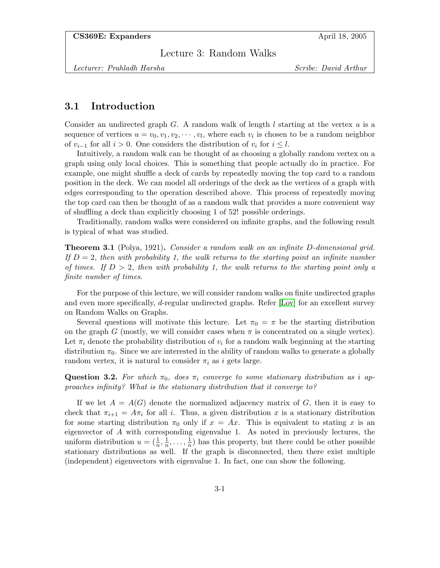Lecture 3: Random Walks

Lecturer: Prahladh Harsha Scribe: David Arthur

## 3.1 Introduction

Consider an undirected graph G. A random walk of length l starting at the vertex  $u$  is a sequence of vertices  $u = v_0, v_1, v_2, \dots, v_l$ , where each  $v_i$  is chosen to be a random neighbor of  $v_{i-1}$  for all  $i > 0$ . One considers the distribution of  $v_i$  for  $i \leq l$ .

Intuitively, a random walk can be thought of as choosing a globally random vertex on a graph using only local choices. This is something that people actually do in practice. For example, one might shuffle a deck of cards by repeatedly moving the top card to a random position in the deck. We can model all orderings of the deck as the vertices of a graph with edges corresponding to the operation described above. This process of repeatedly moving the top card can then be thought of as a random walk that provides a more convenient way of shuffling a deck than explicitly choosing 1 of 52! possible orderings.

Traditionally, random walks were considered on infinite graphs, and the following result is typical of what was studied.

Theorem 3.1 (Polya, 1921). Consider a random walk on an infinite D-dimensional grid. If  $D=2$ , then with probability 1, the walk returns to the starting point an infinite number of times. If  $D > 2$ , then with probability 1, the walk returns to the starting point only a finite number of times.

For the purpose of this lecture, we will consider random walks on finite undirected graphs and even more specifically, d-regular undirected graphs. Refer [\[Lov\]](#page-8-0) for an excellent survey on Random Walks on Graphs.

Several questions will motivate this lecture. Let  $\pi_0 = \pi$  be the starting distribution on the graph G (mostly, we will consider cases when  $\pi$  is concentrated on a single vertex). Let  $\pi_i$  denote the probability distribution of  $v_i$  for a random walk beginning at the starting distribution  $\pi_0$ . Since we are interested in the ability of random walks to generate a globally random vertex, it is natural to consider  $\pi_i$  as i gets large.

**Question 3.2.** For which  $\pi_0$ , does  $\pi_i$  converge to some stationary distribution as i approaches infinity? What is the stationary distribution that it converge to?

<span id="page-0-0"></span>If we let  $A = A(G)$  denote the normalized adjacency matrix of G, then it is easy to check that  $\pi_{i+1} = A\pi_i$  for all i. Thus, a given distribution x is a stationary distribution for some starting distribution  $\pi_0$  only if  $x = Ax$ . This is equivalent to stating x is an eigenvector of A with corresponding eigenvalue 1. As noted in previously lectures, the uniform distribution  $u = (\frac{1}{n}, \frac{1}{n})$  $\frac{1}{n}, \ldots, \frac{1}{n}$  $\frac{1}{n}$ ) has this property, but there could be other possible stationary distributions as well. If the graph is disconnected, then there exist multiple (independent) eigenvectors with eigenvalue 1. In fact, one can show the following.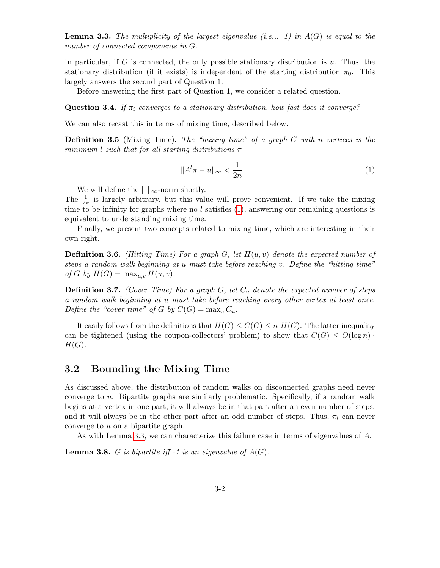**Lemma 3.3.** The multiplicity of the largest eigenvalue (i.e.,. 1) in  $A(G)$  is equal to the number of connected components in G.

In particular, if G is connected, the only possible stationary distribution is u. Thus, the stationary distribution (if it exists) is independent of the starting distribution  $\pi_0$ . This largely answers the second part of Question 1.

Before answering the first part of Question 1, we consider a related question.

**Question 3.4.** If  $\pi_i$  converges to a stationary distribution, how fast does it converge?

We can also recast this in terms of mixing time, described below.

**Definition 3.5** (Mixing Time). The "mixing time" of a graph  $G$  with n vertices is the minimum l such that for all starting distributions  $\pi$ 

<span id="page-1-0"></span>
$$
||A^l \pi - u||_{\infty} < \frac{1}{2n}.\tag{1}
$$

We will define the  $\|\cdot\|_{\infty}$ -norm shortly.

The  $\frac{1}{2\pi}$  is largely arbitrary, but this value will prove convenient. If we take the mixing time to be infinity for graphs where no  $l$  satisfies  $(1)$ , answering our remaining questions is equivalent to understanding mixing time.

Finally, we present two concepts related to mixing time, which are interesting in their own right.

**Definition 3.6.** (Hitting Time) For a graph G, let  $H(u, v)$  denote the expected number of steps a random walk beginning at u must take before reaching v. Define the "hitting time" of G by  $H(G) = \max_{u,v} H(u,v)$ .

**Definition 3.7.** (Cover Time) For a graph  $G$ , let  $C_u$  denote the expected number of steps a random walk beginning at u must take before reaching every other vertex at least once. Define the "cover time" of G by  $C(G) = \max_u C_u$ .

It easily follows from the definitions that  $H(G) \leq C(G) \leq n \cdot H(G)$ . The latter inequality can be tightened (using the coupon-collectors' problem) to show that  $C(G) \leq O(\log n)$ .  $H(G).$ 

# 3.2 Bounding the Mixing Time

As discussed above, the distribution of random walks on disconnected graphs need never converge to u. Bipartite graphs are similarly problematic. Specifically, if a random walk begins at a vertex in one part, it will always be in that part after an even number of steps, and it will always be in the other part after an odd number of steps. Thus,  $\pi_l$  can never converge to u on a bipartite graph.

As with Lemma [3.3,](#page-0-0) we can characterize this failure case in terms of eigenvalues of A.

<span id="page-1-1"></span>**Lemma 3.8.** G is bipartite iff -1 is an eigenvalue of  $A(G)$ .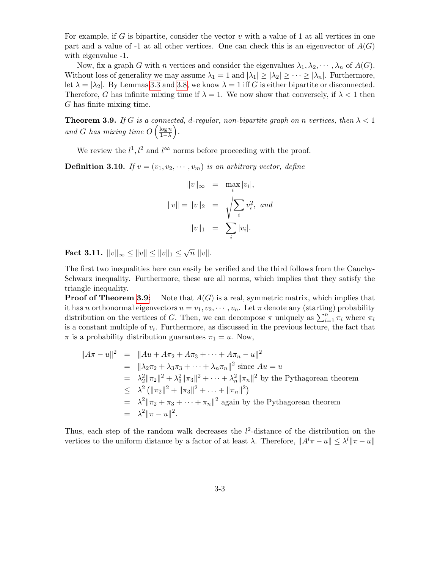For example, if G is bipartite, consider the vector  $v$  with a value of 1 at all vertices in one part and a value of -1 at all other vertices. One can check this is an eigenvector of  $A(G)$ with eigenvalue -1.

Now, fix a graph G with n vertices and consider the eigenvalues  $\lambda_1, \lambda_2, \cdots, \lambda_n$  of  $A(G)$ . Without loss of generality we may assume  $\lambda_1 = 1$  and  $|\lambda_1| \geq |\lambda_2| \geq \cdots \geq |\lambda_n|$ . Furthermore, let  $\lambda = |\lambda_2|$ . By Lemmas [3.3](#page-0-0) and [3.8,](#page-1-1) we know  $\lambda = 1$  iff G is either bipartite or disconnected. Therefore, G has infinite mixing time if  $\lambda = 1$ . We now show that conversely, if  $\lambda < 1$  then G has finite mixing time.

<span id="page-2-0"></span>**Theorem 3.9.** If G is a connected, d-regular, non-bipartite graph on n vertices, then  $\lambda < 1$ and G has mixing time  $O\left(\frac{\log n}{1-\lambda}\right)$  $\frac{\log n}{1-\lambda}$ .

We review the  $l^1, l^2$  and  $l^{\infty}$  norms before proceeding with the proof.

**Definition 3.10.** If  $v = (v_1, v_2, \dots, v_m)$  is an arbitrary vector, define

$$
||v||_{\infty} = \max_{i} |v_i|,
$$
  

$$
||v|| = ||v||_2 = \sqrt{\sum_{i} v_i^2}, \text{ and}
$$
  

$$
||v||_1 = \sum_{i} |v_i|.
$$

<span id="page-2-1"></span>Fact 3.11.  $||v||_{\infty} \le ||v|| \le ||v||_1 \le \sqrt{n} ||v||.$ 

The first two inequalities here can easily be verified and the third follows from the Cauchy-Schwarz inequality. Furthermore, these are all norms, which implies that they satisfy the triangle inequality.

**Proof of Theorem [3.9:](#page-2-0)** Note that  $A(G)$  is a real, symmetric matrix, which implies that it has n orthonormal eigenvectors  $u = v_1, v_2, \dots, v_n$ . Let  $\pi$  denote any (starting) probability distribution on the vertices of G. Then, we can decompose  $\pi$  uniquely as  $\sum_{i=1}^{n} \pi_i$  where  $\pi_i$ is a constant multiple of  $v_i$ . Furthermore, as discussed in the previous lecture, the fact that  $\pi$  is a probability distribution guarantees  $\pi_1 = u$ . Now,

$$
||A\pi - u||^2 = ||Au + A\pi_2 + A\pi_3 + \dots + A\pi_n - u||^2
$$
  
\n
$$
= ||\lambda_2 \pi_2 + \lambda_3 \pi_3 + \dots + \lambda_n \pi_n||^2 \text{ since } Au = u
$$
  
\n
$$
= \lambda_2^2 ||\pi_2||^2 + \lambda_3^2 ||\pi_3||^2 + \dots + \lambda_n^2 ||\pi_n||^2 \text{ by the Pythagorean theorem}
$$
  
\n
$$
\leq \lambda^2 (||\pi_2||^2 + ||\pi_3||^2 + \dots + ||\pi_n||^2)
$$
  
\n
$$
= \lambda^2 ||\pi_2 + \pi_3 + \dots + \pi_n||^2 \text{ again by the Pythagorean theorem}
$$
  
\n
$$
= \lambda^2 ||\pi - u||^2.
$$

Thus, each step of the random walk decreases the  $l^2$ -distance of the distribution on the vertices to the uniform distance by a factor of at least  $\lambda$ . Therefore,  $||A^l \pi - u|| \leq \lambda^l ||\pi - u||$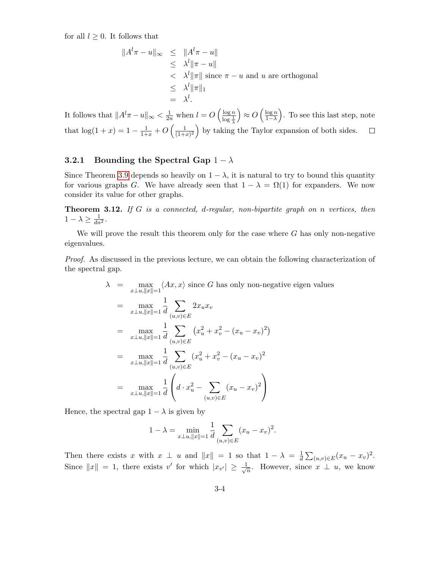for all  $l \geq 0$ . It follows that

$$
\|A^{l}\pi - u\|_{\infty} \le \|A^{l}\pi - u\|
$$
  
\n
$$
\le \lambda^{l} \|\pi - u\|
$$
  
\n
$$
< \lambda^{l} \|\pi\| \text{ since } \pi - u \text{ and } u \text{ are orthogonal}
$$
  
\n
$$
\le \lambda^{l} \|\pi\|_{1}
$$
  
\n
$$
= \lambda^{l}.
$$

It follows that  $||A^l \pi - u||_{\infty} < \frac{1}{2n}$  when  $l = O\left(\frac{\log n}{\log \frac{1}{k}}\right)$  $\bigg) \approx O\left(\frac{\log n}{1-\lambda}\right)$  $\frac{\log n}{1-\lambda}$ . To see this last step, note  $\log \frac{1}{\lambda}$ that  $\log(1+x) = 1 - \frac{1}{1+x} + O\left(\frac{1}{(1+x)^{1+x}}\right)$  $\frac{1}{(1+x)^2}$  by taking the Taylor expansion of both sides.  $\Box$ 

## 3.2.1 Bounding the Spectral Gap  $1 - \lambda$

Since Theorem [3.9](#page-2-0) depends so heavily on  $1 - \lambda$ , it is natural to try to bound this quantity for various graphs G. We have already seen that  $1 - \lambda = \Omega(1)$  for expanders. We now consider its value for other graphs.

<span id="page-3-0"></span>**Theorem 3.12.** If G is a connected, d-regular, non-bipartite graph on n vertices, then  $1 - \lambda \geq \frac{1}{dn^2}$ .

We will prove the result this theorem only for the case where  $G$  has only non-negative eigenvalues.

Proof. As discussed in the previous lecture, we can obtain the following characterization of the spectral gap.

$$
\lambda = \max_{x \perp u, ||x|| = 1} \langle Ax, x \rangle \text{ since } G \text{ has only non-negative eigen values}
$$
\n
$$
= \max_{x \perp u, ||x|| = 1} \frac{1}{d} \sum_{(u,v) \in E} 2x_u x_v
$$
\n
$$
= \max_{x \perp u, ||x|| = 1} \frac{1}{d} \sum_{(u,v) \in E} (x_u^2 + x_v^2 - (x_u - x_v)^2)
$$
\n
$$
= \max_{x \perp u, ||x|| = 1} \frac{1}{d} \sum_{(u,v) \in E} (x_u^2 + x_v^2 - (x_u - x_v)^2)
$$
\n
$$
= \max_{x \perp u, ||x|| = 1} \frac{1}{d} \left( d \cdot x_u^2 - \sum_{(u,v) \in E} (x_u - x_v)^2 \right)
$$

Hence, the spectral gap  $1 - \lambda$  is given by

$$
1 - \lambda = \min_{x \perp u, ||x|| = 1} \frac{1}{d} \sum_{(u,v) \in E} (x_u - x_v)^2.
$$

Then there exists x with  $x \perp u$  and  $||x|| = 1$  so that  $1 - \lambda = \frac{1}{d}$  $\frac{1}{d} \sum_{(u,v) \in E} (x_u - x_v)^2.$ Since  $||x|| = 1$ , there exists v' for which  $|x_{v'}| \geq \frac{1}{\sqrt{2}}$  $\overline{n}$ . However, since  $x \perp u$ , we know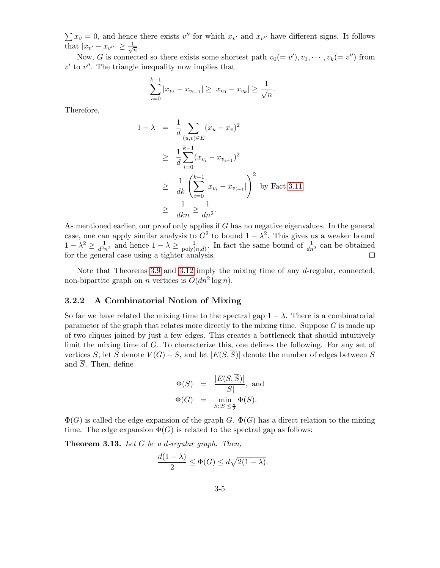$\sum x_v = 0$ , and hence there exists v'' for which  $x_{v'}$  and  $x_{v''}$  have different signs. It follows that  $|x_{v'} - x_{v''}| \geq \frac{1}{\sqrt{2}}$  $\frac{1}{n}$ .

Now, G is connected so there exists some shortest path  $v_0(=v')$ ,  $v_1, \dots, v_k(=v'')$  from  $v'$  to  $v''$ . The triangle inequality now implies that

$$
\sum_{i=0}^{k-1} |x_{v_i} - x_{v_{i+1}}| \ge |x_{v_0} - x_{v_k}| \ge \frac{1}{\sqrt{n}}.
$$

Therefore,

$$
1 - \lambda = \frac{1}{d} \sum_{(u,v)\in E} (x_u - x_v)^2
$$
  
\n
$$
\geq \frac{1}{d} \sum_{i=0}^{k-1} (x_{v_i} - x_{v_{i+1}})^2
$$
  
\n
$$
\geq \frac{1}{dk} \left( \sum_{i=0}^{k-1} |x_{v_i} - x_{v_{i+1}}| \right)^2 \text{ by Fact 3.11}
$$
  
\n
$$
\geq \frac{1}{dkn} \geq \frac{1}{dn^2}.
$$

As mentioned earlier, our proof only applies if  $G$  has no negative eigenvalues. In the general case, one can apply similar analysis to  $G^2$  to bound  $1 - \lambda^2$ . This gives us a weaker bound  $1-\lambda^2 \geq \frac{1}{d^2}$  $\frac{1}{d^2 n^2}$  and hence  $1 - \lambda \geq \frac{1}{\text{poly}}$  $\frac{1}{\text{poly}(n,d)}$ . In fact the same bound of  $\frac{1}{dn^2}$  can be obtained for the general case using a tighter analysis.

Note that Theorems [3.9](#page-2-0) and [3.12](#page-3-0) imply the mixing time of any d-regular, connected, non-bipartite graph on *n* vertices is  $O(dn^2 \log n)$ .

#### 3.2.2 A Combinatorial Notion of Mixing

So far we have related the mixing time to the spectral gap  $1 - \lambda$ . There is a combinatorial parameter of the graph that relates more directly to the mixing time. Suppose  $G$  is made up of two cliques joined by just a few edges. This creates a bottleneck that should intuitively limit the mixing time of G. To characterize this, one defines the following. For any set of vertices S, let  $\overline{S}$  denote  $V(G) - S$ , and let  $|E(S, \overline{S})|$  denote the number of edges between S and  $\overline{S}$ . Then, define

$$
\Phi(S) = \frac{|E(S,\overline{S})|}{|S|}, \text{ and}
$$
  

$$
\Phi(G) = \min_{S:|S| \le \frac{n}{2}} \Phi(S).
$$

 $\Phi(G)$  is called the edge-expansion of the graph G.  $\Phi(G)$  has a direct relation to the mixing time. The edge expansion  $\Phi(G)$  is related to the spectral gap as follows:

**Theorem 3.13.** Let  $G$  be a d-regular graph. Then,

$$
\frac{d(1-\lambda)}{2} \le \Phi(G) \le d\sqrt{2(1-\lambda)}.
$$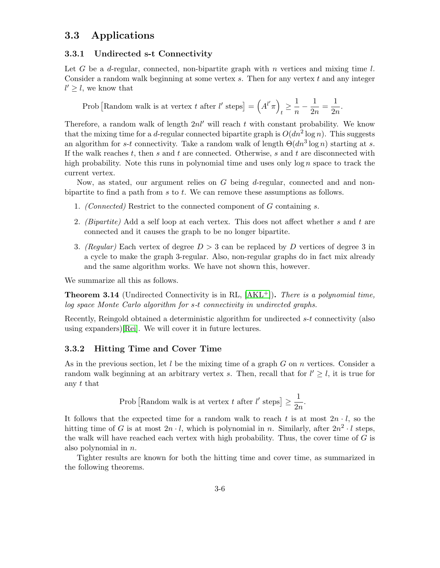# 3.3 Applications

## 3.3.1 Undirected s-t Connectivity

Let G be a d-regular, connected, non-bipartite graph with n vertices and mixing time l. Consider a random walk beginning at some vertex  $s$ . Then for any vertex  $t$  and any integer  $l' \geq l$ , we know that

Prob [Random walk is at vertex t after l' steps] =  $(A^{\ell'}\pi)$  $\frac{1}{t} \geq \frac{1}{n}$  $\frac{1}{n} - \frac{1}{2n}$  $\frac{1}{2n} = \frac{1}{2n}$  $\frac{1}{2n}$ .

Therefore, a random walk of length  $2nl'$  will reach t with constant probability. We know that the mixing time for a d-regular connected bipartite graph is  $O(dn^2 \log n)$ . This suggests an algorithm for s-t connectivity. Take a random walk of length  $\Theta(dn^3 \log n)$  starting at s. If the walk reaches  $t$ , then  $s$  and  $t$  are connected. Otherwise,  $s$  and  $t$  are disconnected with high probability. Note this runs in polynomial time and uses only  $\log n$  space to track the current vertex.

Now, as stated, our argument relies on G being d-regular, connected and and nonbipartite to find a path from s to t. We can remove these assumptions as follows.

- 1. (Connected) Restrict to the connected component of G containing s.
- 2. *(Bipartite)* Add a self loop at each vertex. This does not affect whether s and t are connected and it causes the graph to be no longer bipartite.
- 3. (Regular) Each vertex of degree  $D > 3$  can be replaced by D vertices of degree 3 in a cycle to make the graph 3-regular. Also, non-regular graphs do in fact mix already and the same algorithm works. We have not shown this, however.

<span id="page-5-0"></span>We summarize all this as follows.

**Theorem 3.14** (Undirected Connectivity is in RL,  $[AKL^+]$  $[AKL^+]$ ). There is a polynomial time, log space Monte Carlo algorithm for s-t connectivity in undirected graphs.

Recently, Reingold obtained a deterministic algorithm for undirected s-t connectivity (also using expanders)[\[Rei\]](#page-8-1). We will cover it in future lectures.

#### 3.3.2 Hitting Time and Cover Time

As in the previous section, let  $l$  be the mixing time of a graph  $G$  on  $n$  vertices. Consider a random walk beginning at an arbitrary vertex s. Then, recall that for  $l' \geq l$ , it is true for any t that

Prob [Random walk is at vertex *t* after 
$$
l'
$$
 steps]  $\geq \frac{1}{2n}$ .

It follows that the expected time for a random walk to reach t is at most  $2n \cdot l$ , so the hitting time of G is at most  $2n \cdot l$ , which is polynomial in n. Similarly, after  $2n^2 \cdot l$  steps, the walk will have reached each vertex with high probability. Thus, the cover time of  $G$  is also polynomial in n.

Tighter results are known for both the hitting time and cover time, as summarized in the following theorems.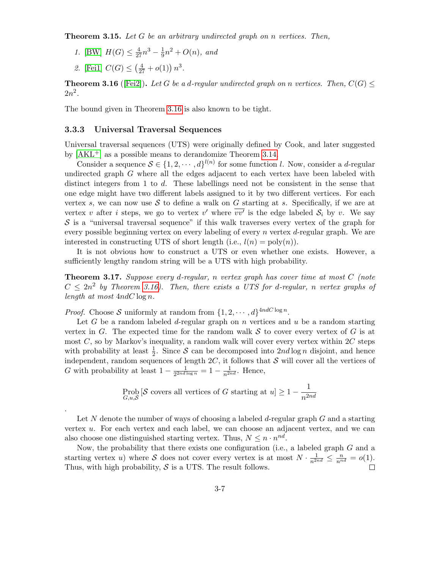**Theorem 3.15.** Let G be an arbitrary undirected graph on n vertices. Then,

- 1. [\[BW\]](#page-7-1)  $H(G) \leq \frac{4}{27}n^3 \frac{1}{9}$  $\frac{1}{9}n^2 + O(n)$ , and
- 2. [\[Fei1\]](#page-7-2)  $C(G) \leq (\frac{4}{27} + o(1)) n^3$ .

<span id="page-6-0"></span>**Theorem 3.16** ([\[Fei2\]](#page-7-3)). Let G be a d-regular undirected graph on n vertices. Then,  $C(G)$   $\leq$  $2n^2$ .

The bound given in Theorem [3.16](#page-6-0) is also known to be tight.

#### 3.3.3 Universal Traversal Sequences

Universal traversal sequences (UTS) were originally defined by Cook, and later suggested by  $[AKL^+]$  $[AKL^+]$  as a possible means to derandomize Theorem [3.14.](#page-5-0)

Consider a sequence  $S \in \{1, 2, \dots, d\}^{l(n)}$  for some function l. Now, consider a d-regular undirected graph  $G$  where all the edges adjacent to each vertex have been labeled with distinct integers from 1 to d. These labellings need not be consistent in the sense that one edge might have two different labels assigned to it by two different vertices. For each vertex s, we can now use S to define a walk on G starting at s. Specifically, if we are at vertex v after *i* steps, we go to vertex v' where  $\overline{vv'}$  is the edge labeled  $S_i$  by v. We say  $\mathcal S$  is a "universal traversal sequence" if this walk traverses every vertex of the graph for every possible beginning vertex on every labeling of every  $n$  vertex  $d$ -regular graph. We are interested in constructing UTS of short length (i.e.,  $l(n) = \text{poly}(n)$ ).

It is not obvious how to construct a UTS or even whether one exists. However, a sufficiently lengthy random string will be a UTS with high probability.

**Theorem 3.17.** Suppose every d-regular, n vertex graph has cover time at most  $C$  (note  $C \leq 2n^2$  by Theorem [3.16\)](#page-6-0). Then, there exists a UTS for d-regular, n vertex graphs of length at most  $4ndC \log n$ .

*Proof.* Choose S uniformly at random from  $\{1, 2, \dots, d\}^{4ndC \log n}$ .

.

Let G be a random labeled d-regular graph on n vertices and  $u$  be a random starting vertex in  $G$ . The expected time for the random walk  $S$  to cover every vertex of  $G$  is at most  $C$ , so by Markov's inequality, a random walk will cover every vertex within  $2C$  steps with probability at least  $\frac{1}{2}$ . Since S can be decomposed into  $2nd \log n$  disjoint, and hence independent, random sequences of length  $2C$ , it follows that S will cover all the vertices of G with probability at least  $1-\frac{1}{2^{2nd}}$  $\frac{1}{2^{2nd \log n}} = 1 - \frac{1}{n^{2nd}}$ . Hence,

$$
\text{Prob}_{G,u,\mathcal{S}}\left[\mathcal{S}\text{ covers all vertices of }G\text{ starting at }u\right] \ge 1 - \frac{1}{n^{2nd}}
$$

Let N denote the number of ways of choosing a labeled d-regular graph  $G$  and a starting vertex u. For each vertex and each label, we can choose an adjacent vertex, and we can also choose one distinguished starting vertex. Thus,  $N \leq n \cdot n^{nd}$ .

Now, the probability that there exists one configuration (i.e., a labeled graph G and a starting vertex u) where S does not cover every vertex is at most  $N \cdot \frac{1}{n^{2nd}} \leq \frac{n}{n^{nd}} = o(1)$ . Thus, with high probability,  $S$  is a UTS. The result follows.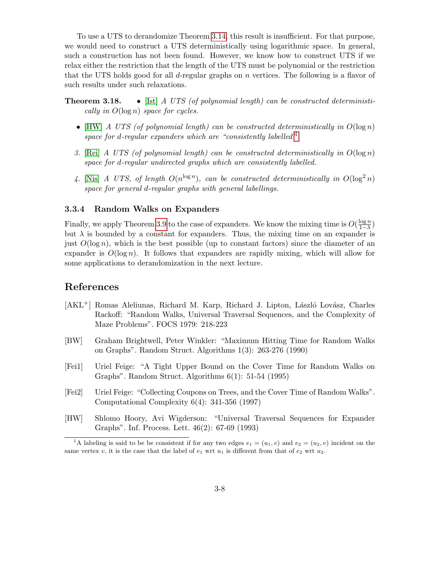To use a UTS to derandomize Theorem [3.14,](#page-5-0) this result is insufficient. For that purpose, we would need to construct a UTS deterministically using logarithmic space. In general, such a construction has not been found. However, we know how to construct UTS if we relax either the restriction that the length of the UTS must be polynomial or the restriction that the UTS holds good for all d-regular graphs on  $n$  vertices. The following is a flavor of such results under such relaxations.

**Theorem 3.18.** • [\[Ist\]](#page-8-2) A UTS (of polynomial length) can be constructed deterministically in  $O(\log n)$  space for cycles.

- [\[HW\]](#page-7-4) A UTS (of polynomial length) can be constructed deterministically in  $O(\log n)$ space for d-regular expanders which are "consistently labelled $1$ "
- 3. [\[Rei\]](#page-8-1) A UTS (of polynomial length) can be constructed deterministically in  $O(\log n)$ space for d-regular undirected graphs which are consistently labelled.
- 4. [\[Nis\]](#page-8-3) A UTS, of length  $O(n^{\log n})$ , can be constructed deterministically in  $O(\log^2 n)$ space for general d-regular graphs with general labellings.

## 3.3.4 Random Walks on Expanders

Finally, we apply Theorem [3.9](#page-2-0) to the case of expanders. We know the mixing time is  $O(\frac{\log n}{1-\lambda})$  $\frac{\log n}{1-\lambda}$ but  $\lambda$  is bounded by a constant for expanders. Thus, the mixing time on an expander is just  $O(\log n)$ , which is the best possible (up to constant factors) since the diameter of an expander is  $O(\log n)$ . It follows that expanders are rapidly mixing, which will allow for some applications to derandomization in the next lecture.

## References

- <span id="page-7-0"></span>[AKL<sup>+</sup>] Romas Aleliunas, Richard M. Karp, Richard J. Lipton, László Lovász, Charles Rackoff: "Random Walks, Universal Traversal Sequences, and the Complexity of Maze Problems". FOCS 1979: 218-223
- <span id="page-7-1"></span>[BW] Graham Brightwell, Peter Winkler: "Maximum Hitting Time for Random Walks on Graphs". Random Struct. Algorithms 1(3): 263-276 (1990)
- <span id="page-7-2"></span>[Fei1] Uriel Feige: "A Tight Upper Bound on the Cover Time for Random Walks on Graphs". Random Struct. Algorithms 6(1): 51-54 (1995)
- <span id="page-7-3"></span>[Fei2] Uriel Feige: "Collecting Coupons on Trees, and the Cover Time of Random Walks". Computational Complexity 6(4): 341-356 (1997)
- <span id="page-7-4"></span>[HW] Shlomo Hoory, Avi Wigderson: "Universal Traversal Sequences for Expander Graphs". Inf. Process. Lett. 46(2): 67-69 (1993)

<span id="page-7-5"></span><sup>&</sup>lt;sup>1</sup>A labeling is said to be be consistent if for any two edges  $e_1 = (u_1, v)$  and  $e_2 = (u_2, v)$  incident on the same vertex v, it is the case that the label of  $e_1$  wrt  $u_1$  is different from that of  $e_2$  wrt  $u_2$ .